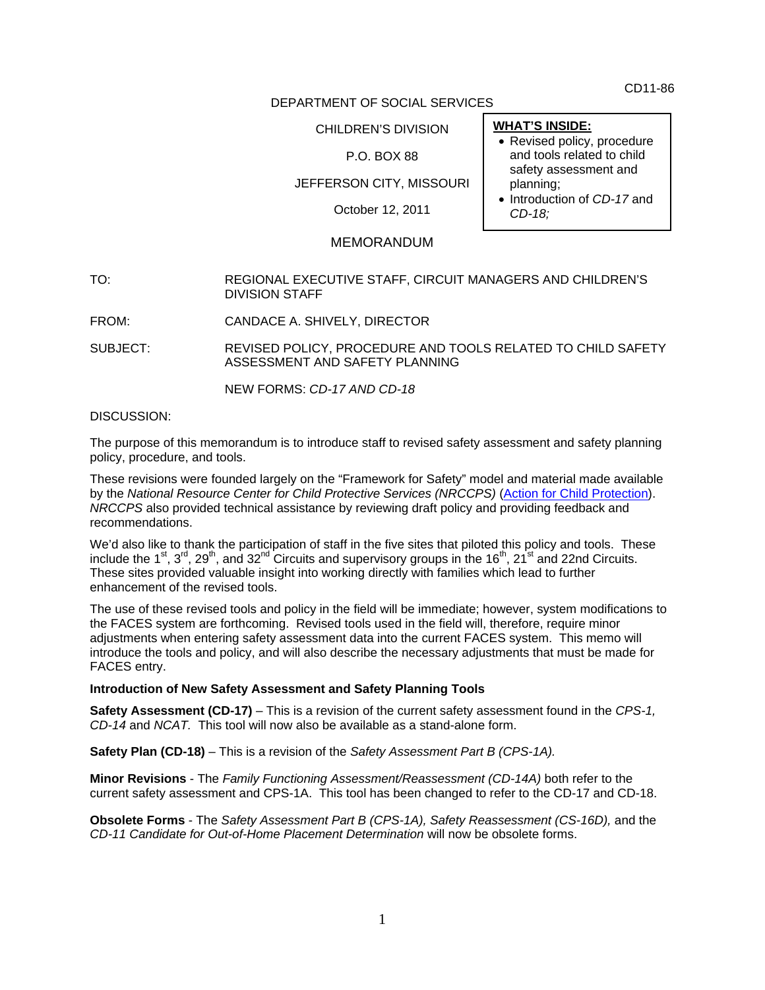CD11-86

## DEPARTMENT OF SOCIAL SERVICES

CHILDREN'S DIVISION

# P.O. BOX 88

JEFFERSON CITY, MISSOURI

October 12, 2011

# MEMORANDUM

TO: REGIONAL EXECUTIVE STAFF, CIRCUIT MANAGERS AND CHILDREN'S DIVISION STAFF

FROM: CANDACE A. SHIVELY, DIRECTOR

SUBJECT: REVISED POLICY, PROCEDURE AND TOOLS RELATED TO CHILD SAFETY ASSESSMENT AND SAFETY PLANNING

NEW FORMS: *CD-17 AND CD-18* 

#### DISCUSSION:

The purpose of this memorandum is to introduce staff to revised safety assessment and safety planning policy, procedure, and tools.

These revisions were founded largely on the "Framework for Safety" model and material made available by the *National Resource Center for Child Protective Services (NRCCPS)* [\(Action for Child Protection\)](http://www.actionchildprotection.org/safety_articles/current_articles.php). *NRCCPS* also provided technical assistance by reviewing draft policy and providing feedback and recommendations.

We'd also like to thank the participation of staff in the five sites that piloted this policy and tools. These include the 1<sup>st</sup>, 3<sup>rd</sup>, 29<sup>th</sup>, and 32<sup>nd</sup> Circuits and supervisory groups in the 16<sup>th</sup>, 21<sup>st</sup> and 22nd Circuits. These sites provided valuable insight into working directly with families which lead to further enhancement of the revised tools.

The use of these revised tools and policy in the field will be immediate; however, system modifications to the FACES system are forthcoming. Revised tools used in the field will, therefore, require minor adjustments when entering safety assessment data into the current FACES system. This memo will introduce the tools and policy, and will also describe the necessary adjustments that must be made for FACES entry.

#### **Introduction of New Safety Assessment and Safety Planning Tools**

**Safety Assessment (CD-17)** *–* This is a revision of the current safety assessment found in the *CPS-1, CD-14* and *NCAT.* This tool will now also be available as a stand-alone form.

**Safety Plan (CD-18)** *–* This is a revision of the *Safety Assessment Part B (CPS-1A).* 

**Minor Revisions** - The *Family Functioning Assessment/Reassessment (CD-14A)* both refer to the current safety assessment and CPS-1A. This tool has been changed to refer to the CD-17 and CD-18.

**Obsolete Forms** - The *Safety Assessment Part B (CPS-1A), Safety Reassessment (CS-16D),* and the *CD-11 Candidate for Out-of-Home Placement Determination* will now be obsolete forms.

#### **WHAT'S INSIDE:**

- Revised policy, procedure and tools related to child safety assessment and planning;
- Introduction of *CD-17* and *CD-18;*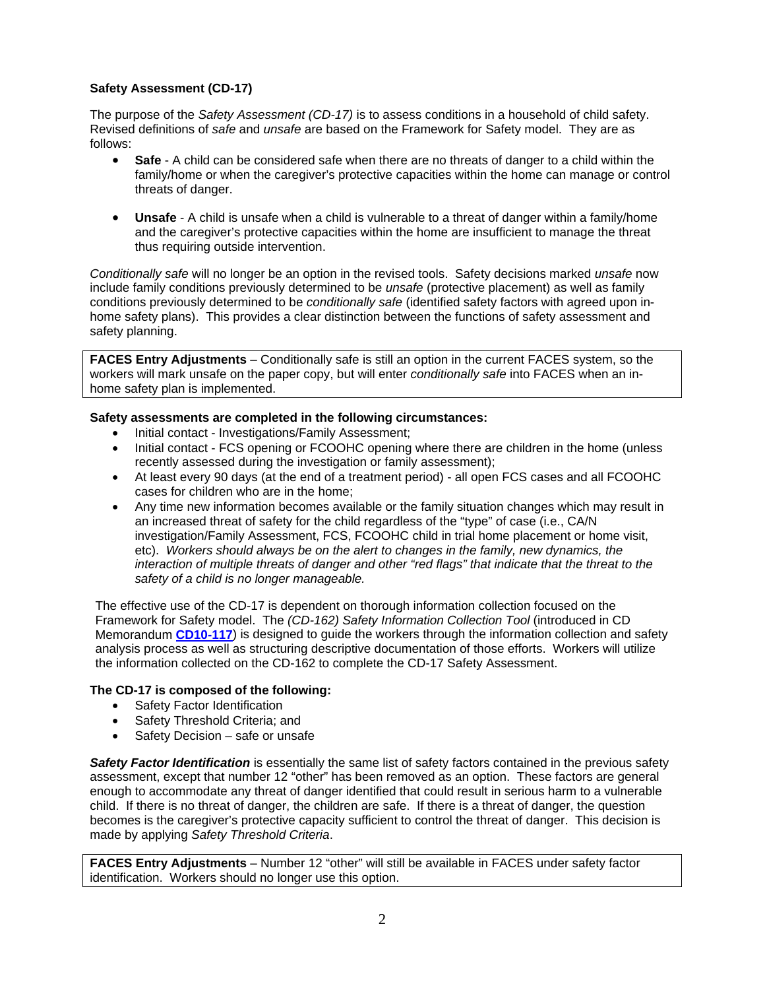# **Safety Assessment (CD-17)**

The purpose of the *Safety Assessment (CD-17)* is to assess conditions in a household of child safety. Revised definitions of *safe* and *unsafe* are based on the Framework for Safety model. They are as follows:

- **Safe** A child can be considered safe when there are no threats of danger to a child within the family/home or when the caregiver's protective capacities within the home can manage or control threats of danger.
- **Unsafe** A child is unsafe when a child is vulnerable to a threat of danger within a family/home and the caregiver's protective capacities within the home are insufficient to manage the threat thus requiring outside intervention.

*Conditionally safe* will no longer be an option in the revised tools. Safety decisions marked *unsafe* now include family conditions previously determined to be *unsafe* (protective placement) as well as family conditions previously determined to be *conditionally safe* (identified safety factors with agreed upon inhome safety plans). This provides a clear distinction between the functions of safety assessment and safety planning.

**FACES Entry Adjustments** – Conditionally safe is still an option in the current FACES system, so the workers will mark unsafe on the paper copy, but will enter *conditionally safe* into FACES when an inhome safety plan is implemented.

## **Safety assessments are completed in the following circumstances:**

- Initial contact Investigations/Family Assessment;
- Initial contact FCS opening or FCOOHC opening where there are children in the home (unless recently assessed during the investigation or family assessment);
- At least every 90 days (at the end of a treatment period) all open FCS cases and all FCOOHC cases for children who are in the home;
- Any time new information becomes available or the family situation changes which may result in an increased threat of safety for the child regardless of the "type" of case (i.e., CA/N investigation/Family Assessment, FCS, FCOOHC child in trial home placement or home visit, etc). *Workers should always be on the alert to changes in the family, new dynamics, the interaction of multiple threats of danger and other "red flags" that indicate that the threat to the safety of a child is no longer manageable.*

The effective use of the CD-17 is dependent on thorough information collection focused on the Framework for Safety model. The *(CD-162) Safety Information Collection Tool* (introduced in CD Memorandum **[CD10-117](http://dss.mo.gov/cd/info/memos/2010/cd10-117.pdf)**) is designed to guide the workers through the information collection and safety analysis process as well as structuring descriptive documentation of those efforts. Workers will utilize the information collected on the CD-162 to complete the CD-17 Safety Assessment.

## **The CD-17 is composed of the following:**

- Safety Factor Identification
- Safety Threshold Criteria; and
- Safety Decision safe or unsafe

**Safety Factor Identification** is essentially the same list of safety factors contained in the previous safety assessment, except that number 12 "other" has been removed as an option. These factors are general enough to accommodate any threat of danger identified that could result in serious harm to a vulnerable child. If there is no threat of danger, the children are safe. If there is a threat of danger, the question becomes is the caregiver's protective capacity sufficient to control the threat of danger. This decision is made by applying *Safety Threshold Criteria*.

**FACES Entry Adjustments** – Number 12 "other" will still be available in FACES under safety factor identification. Workers should no longer use this option.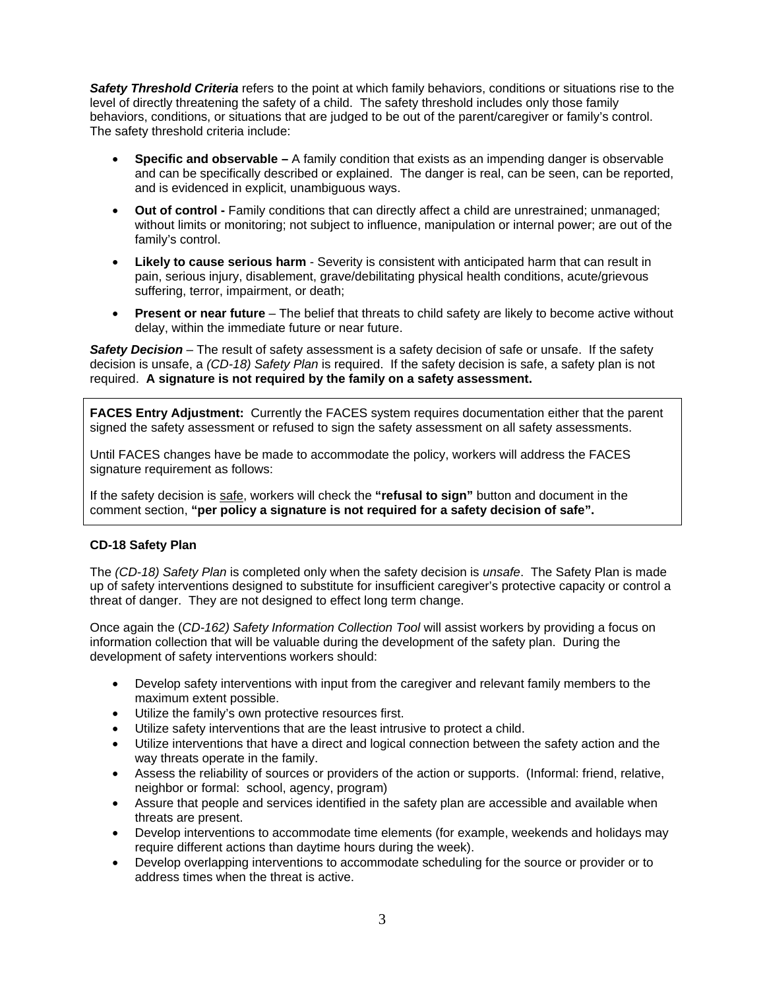*Safety Threshold Criteria* refers to the point at which family behaviors, conditions or situations rise to the level of directly threatening the safety of a child. The safety threshold includes only those family behaviors, conditions, or situations that are judged to be out of the parent/caregiver or family's control. The safety threshold criteria include:

- **Specific and observable** A family condition that exists as an impending danger is observable and can be specifically described or explained. The danger is real, can be seen, can be reported, and is evidenced in explicit, unambiguous ways.
- **Out of control** Family conditions that can directly affect a child are unrestrained; unmanaged; without limits or monitoring; not subject to influence, manipulation or internal power; are out of the family's control.
- **Likely to cause serious harm**  Severity is consistent with anticipated harm that can result in pain, serious injury, disablement, grave/debilitating physical health conditions, acute/grievous suffering, terror, impairment, or death;
- **Present or near future** The belief that threats to child safety are likely to become active without delay, within the immediate future or near future.

**Safety Decision** – The result of safety assessment is a safety decision of safe or unsafe. If the safety decision is unsafe, a *(CD-18) Safety Plan* is required. If the safety decision is safe, a safety plan is not required. **A signature is not required by the family on a safety assessment.**

**FACES Entry Adjustment:** Currently the FACES system requires documentation either that the parent signed the safety assessment or refused to sign the safety assessment on all safety assessments.

Until FACES changes have be made to accommodate the policy, workers will address the FACES signature requirement as follows:

If the safety decision is safe, workers will check the **"refusal to sign"** button and document in the comment section, **"per policy a signature is not required for a safety decision of safe".**

## **CD-18 Safety Plan**

The *(CD-18) Safety Plan* is completed only when the safety decision is *unsafe*. The Safety Plan is made up of safety interventions designed to substitute for insufficient caregiver's protective capacity or control a threat of danger. They are not designed to effect long term change.

Once again the (*CD-162) Safety Information Collection Tool* will assist workers by providing a focus on information collection that will be valuable during the development of the safety plan. During the development of safety interventions workers should:

- Develop safety interventions with input from the caregiver and relevant family members to the maximum extent possible.
- Utilize the family's own protective resources first.
- Utilize safety interventions that are the least intrusive to protect a child.
- Utilize interventions that have a direct and logical connection between the safety action and the way threats operate in the family.
- Assess the reliability of sources or providers of the action or supports. (Informal: friend, relative, neighbor or formal: school, agency, program)
- Assure that people and services identified in the safety plan are accessible and available when threats are present.
- Develop interventions to accommodate time elements (for example, weekends and holidays may require different actions than daytime hours during the week).
- Develop overlapping interventions to accommodate scheduling for the source or provider or to address times when the threat is active.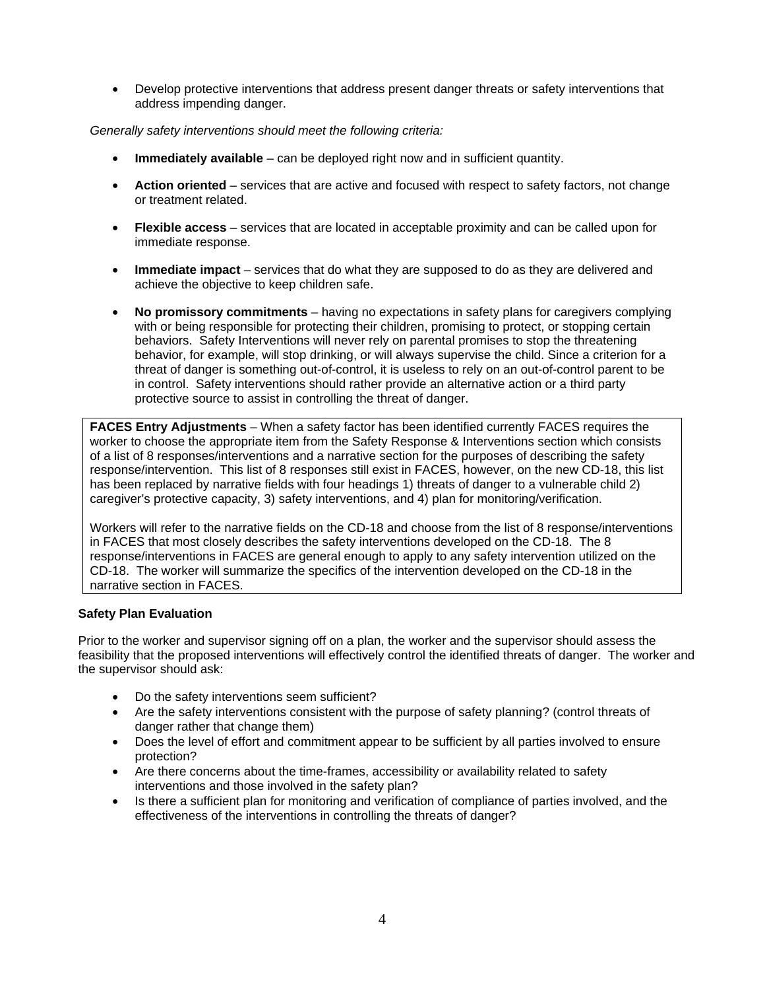• Develop protective interventions that address present danger threats or safety interventions that address impending danger.

*Generally safety interventions should meet the following criteria:* 

- **Immediately available** can be deployed right now and in sufficient quantity.
- **Action oriented** services that are active and focused with respect to safety factors, not change or treatment related.
- **Flexible access** services that are located in acceptable proximity and can be called upon for immediate response.
- **Immediate impact** services that do what they are supposed to do as they are delivered and achieve the objective to keep children safe.
- **No promissory commitments** having no expectations in safety plans for caregivers complying with or being responsible for protecting their children, promising to protect, or stopping certain behaviors. Safety Interventions will never rely on parental promises to stop the threatening behavior, for example, will stop drinking, or will always supervise the child. Since a criterion for a threat of danger is something out-of-control, it is useless to rely on an out-of-control parent to be in control. Safety interventions should rather provide an alternative action or a third party protective source to assist in controlling the threat of danger.

**FACES Entry Adjustments** – When a safety factor has been identified currently FACES requires the worker to choose the appropriate item from the Safety Response & Interventions section which consists of a list of 8 responses/interventions and a narrative section for the purposes of describing the safety response/intervention. This list of 8 responses still exist in FACES, however, on the new CD-18, this list has been replaced by narrative fields with four headings 1) threats of danger to a vulnerable child 2) caregiver's protective capacity, 3) safety interventions, and 4) plan for monitoring/verification.

Workers will refer to the narrative fields on the CD-18 and choose from the list of 8 response/interventions in FACES that most closely describes the safety interventions developed on the CD-18. The 8 response/interventions in FACES are general enough to apply to any safety intervention utilized on the CD-18. The worker will summarize the specifics of the intervention developed on the CD-18 in the narrative section in FACES.

## **Safety Plan Evaluation**

Prior to the worker and supervisor signing off on a plan, the worker and the supervisor should assess the feasibility that the proposed interventions will effectively control the identified threats of danger. The worker and the supervisor should ask:

- Do the safety interventions seem sufficient?
- Are the safety interventions consistent with the purpose of safety planning? (control threats of danger rather that change them)
- Does the level of effort and commitment appear to be sufficient by all parties involved to ensure protection?
- Are there concerns about the time-frames, accessibility or availability related to safety interventions and those involved in the safety plan?
- Is there a sufficient plan for monitoring and verification of compliance of parties involved, and the effectiveness of the interventions in controlling the threats of danger?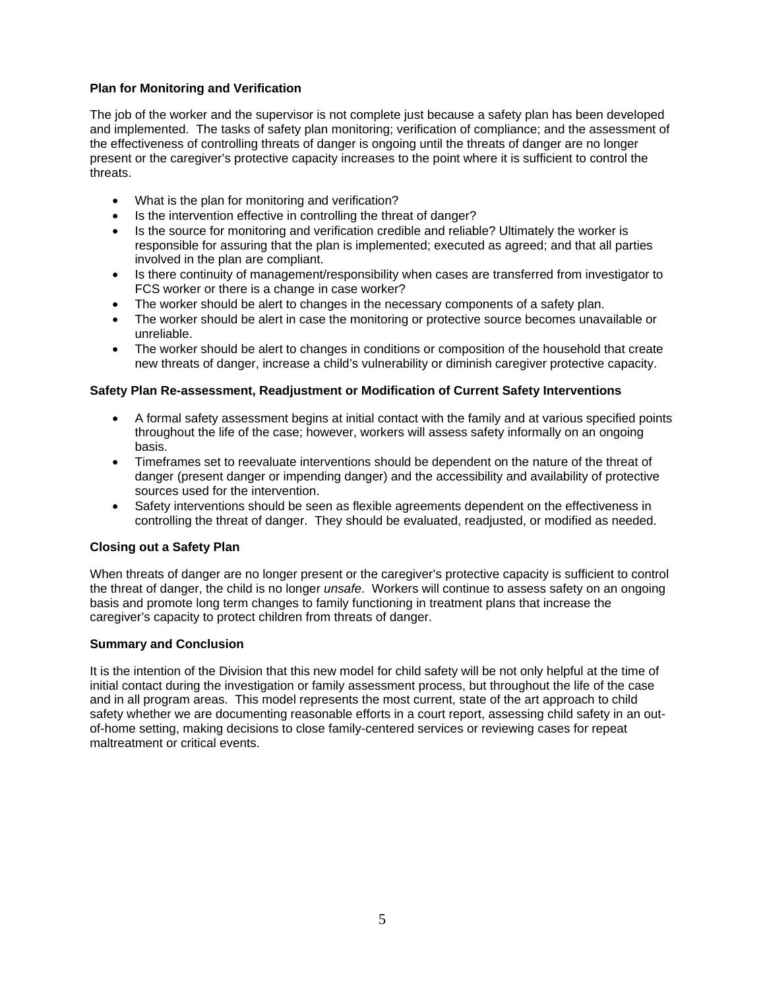## **Plan for Monitoring and Verification**

The job of the worker and the supervisor is not complete just because a safety plan has been developed and implemented. The tasks of safety plan monitoring; verification of compliance; and the assessment of the effectiveness of controlling threats of danger is ongoing until the threats of danger are no longer present or the caregiver's protective capacity increases to the point where it is sufficient to control the threats.

- What is the plan for monitoring and verification?
- Is the intervention effective in controlling the threat of danger?
- Is the source for monitoring and verification credible and reliable? Ultimately the worker is responsible for assuring that the plan is implemented; executed as agreed; and that all parties involved in the plan are compliant.
- Is there continuity of management/responsibility when cases are transferred from investigator to FCS worker or there is a change in case worker?
- The worker should be alert to changes in the necessary components of a safety plan.
- The worker should be alert in case the monitoring or protective source becomes unavailable or unreliable.
- The worker should be alert to changes in conditions or composition of the household that create new threats of danger, increase a child's vulnerability or diminish caregiver protective capacity.

## **Safety Plan Re-assessment, Readjustment or Modification of Current Safety Interventions**

- A formal safety assessment begins at initial contact with the family and at various specified points throughout the life of the case; however, workers will assess safety informally on an ongoing basis.
- Timeframes set to reevaluate interventions should be dependent on the nature of the threat of danger (present danger or impending danger) and the accessibility and availability of protective sources used for the intervention.
- Safety interventions should be seen as flexible agreements dependent on the effectiveness in controlling the threat of danger. They should be evaluated, readjusted, or modified as needed.

## **Closing out a Safety Plan**

When threats of danger are no longer present or the caregiver's protective capacity is sufficient to control the threat of danger, the child is no longer *unsafe*. Workers will continue to assess safety on an ongoing basis and promote long term changes to family functioning in treatment plans that increase the caregiver's capacity to protect children from threats of danger.

## **Summary and Conclusion**

It is the intention of the Division that this new model for child safety will be not only helpful at the time of initial contact during the investigation or family assessment process, but throughout the life of the case and in all program areas. This model represents the most current, state of the art approach to child safety whether we are documenting reasonable efforts in a court report, assessing child safety in an outof-home setting, making decisions to close family-centered services or reviewing cases for repeat maltreatment or critical events.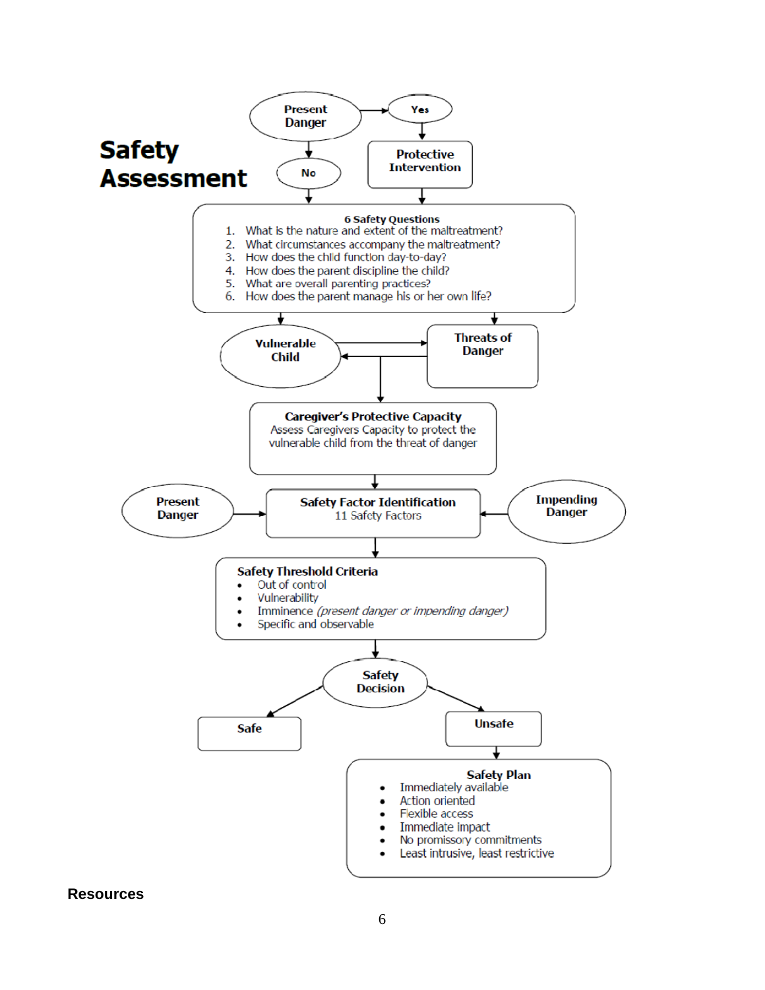

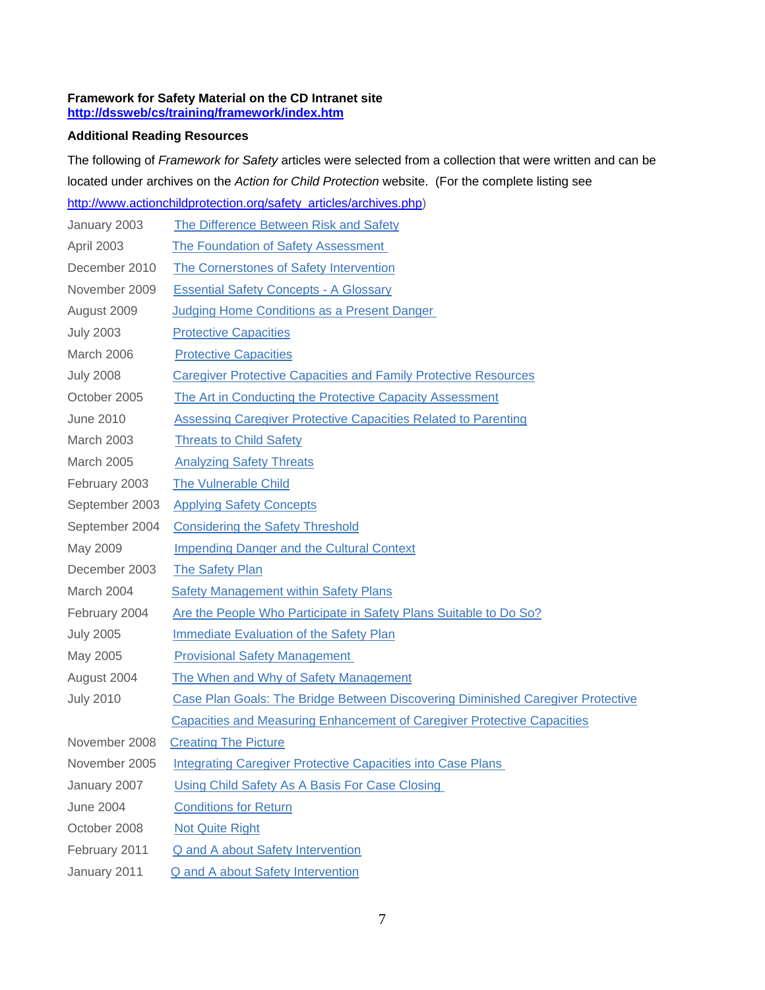#### **Framework for Safety Material on the CD Intranet site <http://dssweb/cs/training/framework/index.htm>**

# **Additional Reading Resources**

The following of *Framework for Safety* articles were selected from a collection that were written and can be located under archives on the *Action for Child Protection* website. (For the complete listing see [http://www.actionchildprotection.org/safety\\_articles/archives.php](http://www.actionchildprotection.org/safety_articles/archives.php))

|                   | <u>intp://www.actionchildprotection.org/salety_anticles/archives.php/</u>       |
|-------------------|---------------------------------------------------------------------------------|
| January 2003      | The Difference Between Risk and Safety                                          |
| April 2003        | <b>The Foundation of Safety Assessment</b>                                      |
| December 2010     | The Cornerstones of Safety Intervention                                         |
| November 2009     | <b>Essential Safety Concepts - A Glossary</b>                                   |
| August 2009       | Judging Home Conditions as a Present Danger                                     |
| <b>July 2003</b>  | <b>Protective Capacities</b>                                                    |
| March 2006        | <b>Protective Capacities</b>                                                    |
| <b>July 2008</b>  | <b>Caregiver Protective Capacities and Family Protective Resources</b>          |
| October 2005      | The Art in Conducting the Protective Capacity Assessment                        |
| <b>June 2010</b>  | <b>Assessing Caregiver Protective Capacities Related to Parenting</b>           |
| <b>March 2003</b> | <b>Threats to Child Safety</b>                                                  |
| March 2005        | <b>Analyzing Safety Threats</b>                                                 |
| February 2003     | <b>The Vulnerable Child</b>                                                     |
| September 2003    | <b>Applying Safety Concepts</b>                                                 |
| September 2004    | <b>Considering the Safety Threshold</b>                                         |
| May 2009          | <b>Impending Danger and the Cultural Context</b>                                |
| December 2003     | <b>The Safety Plan</b>                                                          |
| March 2004        | <b>Safety Management within Safety Plans</b>                                    |
| February 2004     | Are the People Who Participate in Safety Plans Suitable to Do So?               |
| <b>July 2005</b>  | <b>Immediate Evaluation of the Safety Plan</b>                                  |
| May 2005          | <b>Provisional Safety Management</b>                                            |
| August 2004       | The When and Why of Safety Management                                           |
| <b>July 2010</b>  | Case Plan Goals: The Bridge Between Discovering Diminished Caregiver Protective |
|                   | <b>Capacities and Measuring Enhancement of Caregiver Protective Capacities</b>  |
| November 2008     | <b>Creating The Picture</b>                                                     |
| November 2005     | <b>Integrating Caregiver Protective Capacities into Case Plans</b>              |
| January 2007      | Using Child Safety As A Basis For Case Closing                                  |
| <b>June 2004</b>  | <b>Conditions for Return</b>                                                    |
| October 2008      | <b>Not Quite Right</b>                                                          |
| February 2011     | <b>Q</b> and A about Safety Intervention                                        |
| January 2011      | <b>Q and A about Safety Intervention</b>                                        |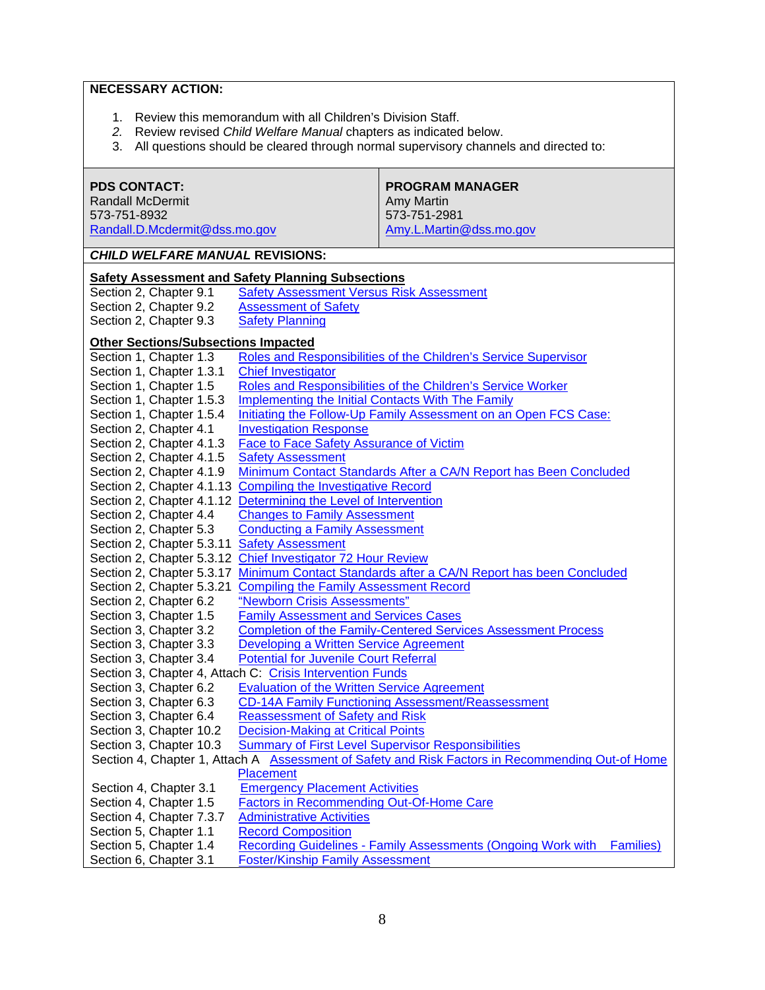# **NECESSARY ACTION:**

- 1. Review this memorandum with all Children's Division Staff.
- *2.* Review revised *Child Welfare Manual* chapters as indicated below.
- 3. All questions should be cleared through normal supervisory channels and directed to:

| <b>PDS CONTACT:</b><br><b>Randall McDermit</b>                                                      |                                                                                              | <b>PROGRAM MANAGER</b><br>Amy Martin                                   |  |  |  |
|-----------------------------------------------------------------------------------------------------|----------------------------------------------------------------------------------------------|------------------------------------------------------------------------|--|--|--|
| 573-751-8932<br>Randall.D.Mcdermit@dss.mo.gov                                                       |                                                                                              | 573-751-2981<br>Amy.L.Martin@dss.mo.gov                                |  |  |  |
|                                                                                                     |                                                                                              |                                                                        |  |  |  |
| <b>CHILD WELFARE MANUAL REVISIONS:</b>                                                              |                                                                                              |                                                                        |  |  |  |
| <b>Safety Assessment and Safety Planning Subsections</b>                                            |                                                                                              |                                                                        |  |  |  |
| Section 2, Chapter 9.1                                                                              | <b>Safety Assessment Versus Risk Assessment</b>                                              |                                                                        |  |  |  |
| Section 2, Chapter 9.2                                                                              | <b>Assessment of Safety</b>                                                                  |                                                                        |  |  |  |
| Section 2, Chapter 9.3                                                                              | <b>Safety Planning</b>                                                                       |                                                                        |  |  |  |
| <b>Other Sections/Subsections Impacted</b>                                                          |                                                                                              |                                                                        |  |  |  |
| Section 1, Chapter 1.3                                                                              |                                                                                              | Roles and Responsibilities of the Children's Service Supervisor        |  |  |  |
| Section 1, Chapter 1.3.1                                                                            | <b>Chief Investigator</b>                                                                    |                                                                        |  |  |  |
| Section 1, Chapter 1.5                                                                              | Roles and Responsibilities of the Children's Service Worker                                  |                                                                        |  |  |  |
| Section 1, Chapter 1.5.3                                                                            | Implementing the Initial Contacts With The Family                                            |                                                                        |  |  |  |
|                                                                                                     | Section 1, Chapter 1.5.4<br>Initiating the Follow-Up Family Assessment on an Open FCS Case:  |                                                                        |  |  |  |
| Section 2, Chapter 4.1                                                                              | <b>Investigation Response</b><br><b>Face to Face Safety Assurance of Victim</b>              |                                                                        |  |  |  |
| Section 2, Chapter 4.1.3<br>Section 2, Chapter 4.1.5                                                |                                                                                              |                                                                        |  |  |  |
| Section 2, Chapter 4.1.9                                                                            | <b>Safety Assessment</b><br>Minimum Contact Standards After a CA/N Report has Been Concluded |                                                                        |  |  |  |
| Section 2, Chapter 4.1.13                                                                           | <b>Compiling the Investigative Record</b>                                                    |                                                                        |  |  |  |
| Section 2, Chapter 4.1.12                                                                           | Determining the Level of Intervention                                                        |                                                                        |  |  |  |
| Section 2, Chapter 4.4                                                                              | <b>Changes to Family Assessment</b>                                                          |                                                                        |  |  |  |
| Section 2, Chapter 5.3                                                                              | <b>Conducting a Family Assessment</b>                                                        |                                                                        |  |  |  |
| Section 2, Chapter 5.3.11                                                                           | <b>Safety Assessment</b>                                                                     |                                                                        |  |  |  |
| Section 2, Chapter 5.3.12                                                                           | Chief Investigator 72 Hour Review                                                            |                                                                        |  |  |  |
| Section 2, Chapter 5.3.17                                                                           | Minimum Contact Standards after a CA/N Report has been Concluded                             |                                                                        |  |  |  |
| Section 2, Chapter 5.3.21                                                                           | <b>Compiling the Family Assessment Record</b>                                                |                                                                        |  |  |  |
| Section 2, Chapter 6.2                                                                              | "Newborn Crisis Assessments"                                                                 |                                                                        |  |  |  |
| Section 3, Chapter 1.5                                                                              | <b>Family Assessment and Services Cases</b>                                                  |                                                                        |  |  |  |
| Section 3, Chapter 3.2                                                                              |                                                                                              | <b>Completion of the Family-Centered Services Assessment Process</b>   |  |  |  |
| Section 3, Chapter 3.3                                                                              | Developing a Written Service Agreement                                                       |                                                                        |  |  |  |
| Section 3, Chapter 3.4                                                                              | <b>Potential for Juvenile Court Referral</b>                                                 |                                                                        |  |  |  |
| Section 3, Chapter 4, Attach C: Crisis Intervention Funds                                           |                                                                                              |                                                                        |  |  |  |
| Section 3, Chapter 6.2                                                                              | <b>Evaluation of the Written Service Agreement</b>                                           |                                                                        |  |  |  |
| Section 3, Chapter 6.3                                                                              |                                                                                              | <b>CD-14A Family Functioning Assessment/Reassessment</b>               |  |  |  |
| Section 3, Chapter 6.4                                                                              | <b>Reassessment of Safety and Risk</b>                                                       |                                                                        |  |  |  |
| Section 3, Chapter 10.2                                                                             | <b>Decision-Making at Critical Points</b>                                                    |                                                                        |  |  |  |
| Section 3, Chapter 10.3                                                                             | <b>Summary of First Level Supervisor Responsibilities</b>                                    |                                                                        |  |  |  |
| Assessment of Safety and Risk Factors in Recommending Out-of Home<br>Section 4, Chapter 1, Attach A |                                                                                              |                                                                        |  |  |  |
|                                                                                                     | Placement                                                                                    |                                                                        |  |  |  |
| Section 4, Chapter 3.1                                                                              | <b>Emergency Placement Activities</b>                                                        |                                                                        |  |  |  |
| Section 4, Chapter 1.5                                                                              | <b>Factors in Recommending Out-Of-Home Care</b>                                              |                                                                        |  |  |  |
| Section 4, Chapter 7.3.7                                                                            | <b>Administrative Activities</b>                                                             |                                                                        |  |  |  |
| Section 5, Chapter 1.1                                                                              | <b>Record Composition</b>                                                                    |                                                                        |  |  |  |
| Section 5, Chapter 1.4                                                                              |                                                                                              | Recording Guidelines - Family Assessments (Ongoing Work with Families) |  |  |  |
| Section 6, Chapter 3.1                                                                              | <b>Foster/Kinship Family Assessment</b>                                                      |                                                                        |  |  |  |